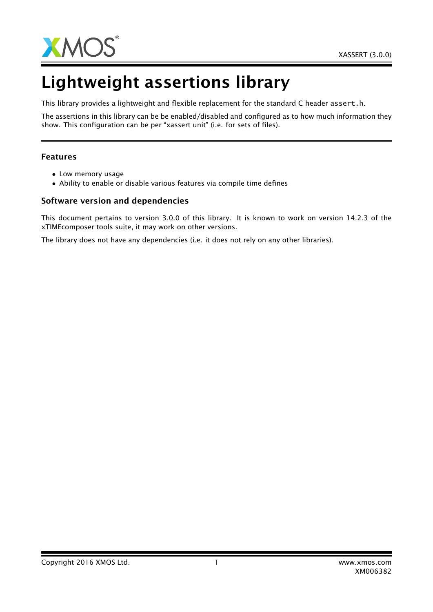

# Lightweight assertions library

This library provides a lightweight and flexible replacement for the standard C header assert.h.

The assertions in this library can be be enabled/disabled and configured as to how much information they show. This configuration can be per "xassert unit" (i.e. for sets of files).

#### Features

- Low memory usage
- Ability to enable or disable various features via compile time defines

#### Software version and dependencies

This document pertains to version 3.0.0 of this library. It is known to work on version 14.2.3 of the xTIMEcomposer tools suite, it may work on other versions.

The library does not have any dependencies (i.e. it does not rely on any other libraries).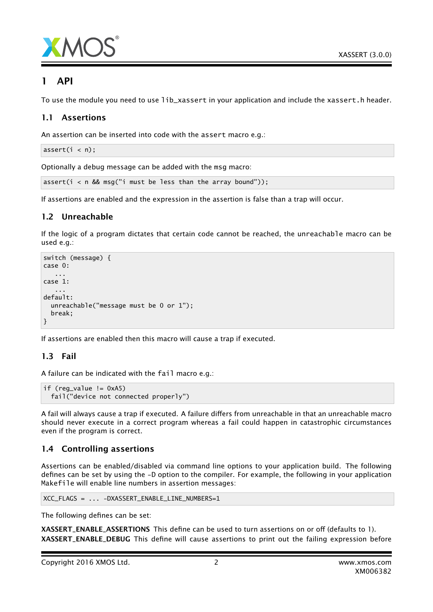



### 1 API

To use the module you need to use lib\_xassert in your application and include the xassert.h header.

#### 1.1 Assertions

An assertion can be inserted into code with the assert macro e.g.:

 $assert(i < n);$ 

Optionally a debug message can be added with the msg macro:

assert( $i < n$  && msg(" $i$  must be less than the array bound"));

If assertions are enabled and the expression in the assertion is false than a trap will occur.

#### 1.2 Unreachable

If the logic of a program dictates that certain code cannot be reached, the unreachable macro can be used e.g.:

```
switch (message) {
case 0:
   ...
case 1:
   ...
default:
  unreachable("message must be 0 or 1");
  break;
}
```
If assertions are enabled then this macro will cause a trap if executed.

#### 1.3 Fail

A failure can be indicated with the fail macro e.g.:

```
if (\text{reg_value} != 0xA5)fail("device not connected properly")
```
A fail will always cause a trap if executed. A failure differs from unreachable in that an unreachable macro should never execute in a correct program whereas a fail could happen in catastrophic circumstances even if the program is correct.

#### 1.4 Controlling assertions

Assertions can be enabled/disabled via command line options to your application build. The following defines can be set by using the -D option to the compiler. For example, the following in your application Makefile will enable line numbers in assertion messages:

```
XCC_FLAGS = ... -DXASSERT_ENABLE_LINE_NUMBERS=1
```
The following defines can be set:

XASSERT\_ENABLE\_ASSERTIONS This define can be used to turn assertions on or off (defaults to 1). XASSERT\_ENABLE\_DEBUG This define will cause assertions to print out the failing expression before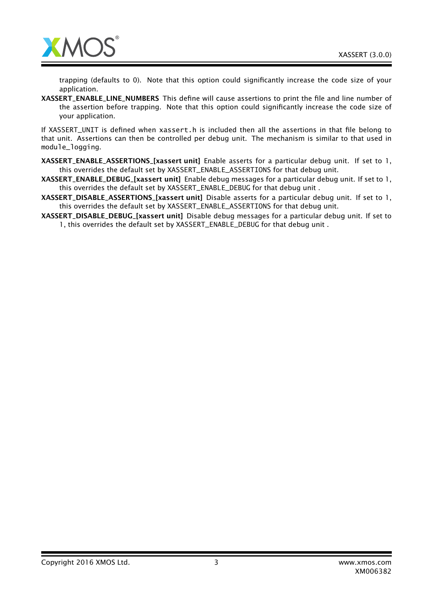

trapping (defaults to 0). Note that this option could significantly increase the code size of your application.

XASSERT\_ENABLE\_LINE\_NUMBERS This define will cause assertions to print the file and line number of the assertion before trapping. Note that this option could significantly increase the code size of your application.

If XASSERT\_UNIT is defined when xassert.h is included then all the assertions in that file belong to that unit. Assertions can then be controlled per debug unit. The mechanism is similar to that used in module\_logging.

- XASSERT\_ENABLE\_ASSERTIONS\_[xassert unit] Enable asserts for a particular debug unit. If set to 1, this overrides the default set by XASSERT\_ENABLE\_ASSERTIONS for that debug unit.
- XASSERT\_ENABLE\_DEBUG\_[xassert unit] Enable debug messages for a particular debug unit. If set to 1, this overrides the default set by XASSERT\_ENABLE\_DEBUG for that debug unit .
- XASSERT\_DISABLE\_ASSERTIONS\_[xassert unit] Disable asserts for a particular debug unit. If set to 1, this overrides the default set by XASSERT\_ENABLE\_ASSERTIONS for that debug unit.
- XASSERT\_DISABLE\_DEBUG\_[xassert unit] Disable debug messages for a particular debug unit. If set to 1, this overrides the default set by XASSERT\_ENABLE\_DEBUG for that debug unit .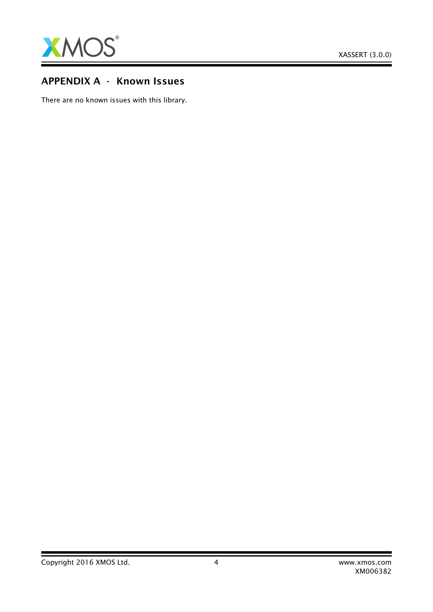

## APPENDIX A - Known Issues

There are no known issues with this library.